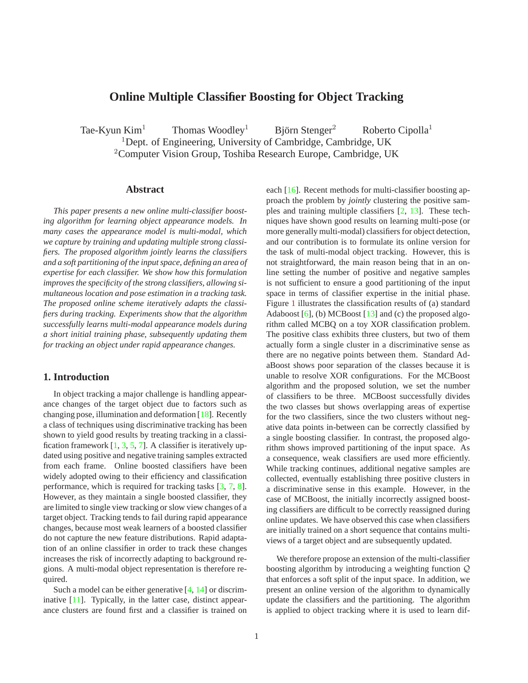# <span id="page-0-0"></span>**Online Multiple Classifier Boosting for Object Tracking**

Tae-Kyun Kim<sup>1</sup> Thomas Woodley<sup>1</sup> Björn Stenger<sup>2</sup> Roberto Cipolla<sup>1</sup> <sup>1</sup>Dept. of Engineering, University of Cambridge, Cambridge, UK  $2$ Computer Vision Group, Toshiba Research Europe, Cambridge, UK

## **Abstract**

*This paper presents a new online multi-classifier boosting algorithm for learning object appearance models. In many cases the appearance model is multi-modal, which we capture by training and updating multiple strong classifiers. The proposed algorithm jointly learns the classifiers and a soft partitioning of the input space, defining an area of expertise for each classifier. We show how this formulation improves the specificity of the strong classifiers, allowing simultaneous location and pose estimation in a tracking task. The proposed online scheme iteratively adapts the classifiers during tracking. Experiments show that the algorithm successfully learns multi-modal appearance models during a short initial training phase, subsequently updating them for tracking an object under rapid appearance changes.*

## **1. Introduction**

In object tracking a major challenge is handling appearance changes of the target object due to factors such as changing pose, illumination and deformation [\[18\]](#page-5-0). Recently a class of techniques using discriminative tracking has been shown to yield good results by treating tracking in a classification framework  $[1, 3, 5, 7]$  $[1, 3, 5, 7]$  $[1, 3, 5, 7]$  $[1, 3, 5, 7]$  $[1, 3, 5, 7]$  $[1, 3, 5, 7]$ . A classifier is iteratively updated using positive and negative training samples extracted from each frame. Online boosted classifiers have been widely adopted owing to their efficiency and classification performance, which is required for tracking tasks [\[3,](#page-5-2) [7,](#page-5-4) [8\]](#page-5-5). However, as they maintain a single boosted classifier, they are limited to single view tracking or slow view changes of a target object. Tracking tends to fail during rapid appearance changes, because most weak learners of a boosted classifier do not capture the new feature distributions. Rapid adaptation of an online classifier in order to track these changes increases the risk of incorrectly adapting to background regions. A multi-modal object representation is therefore required.

Such a model can be either generative [\[4,](#page-5-6) [14\]](#page-5-7) or discrim-inative [\[11\]](#page-5-8). Typically, in the latter case, distinct appearance clusters are found first and a classifier is trained on each [\[16\]](#page-5-9). Recent methods for multi-classifier boosting approach the problem by *jointly* clustering the positive samples and training multiple classifiers [\[2,](#page-5-10) [13\]](#page-5-11). These techniques have shown good results on learning multi-pose (or more generally multi-modal) classifiers for object detection, and our contribution is to formulate its online version for the task of multi-modal object tracking. However, this is not straightforward, the main reason being that in an online setting the number of positive and negative samples is not sufficient to ensure a good partitioning of the input space in terms of classifier expertise in the initial phase. Figure [1](#page-1-0) illustrates the classification results of (a) standard Adaboost  $[6]$ , (b) MCBoost  $[13]$  and (c) the proposed algorithm called MCBQ on a toy XOR classification problem. The positive class exhibits three clusters, but two of them actually form a single cluster in a discriminative sense as there are no negative points between them. Standard AdaBoost shows poor separation of the classes because it is unable to resolve XOR configurations. For the MCBoost algorithm and the proposed solution, we set the number of classifiers to be three. MCBoost successfully divides the two classes but shows overlapping areas of expertise for the two classifiers, since the two clusters without negative data points in-between can be correctly classified by a single boosting classifier. In contrast, the proposed algorithm shows improved partitioning of the input space. As a consequence, weak classifiers are used more efficiently. While tracking continues, additional negative samples are collected, eventually establishing three positive clusters in a discriminative sense in this example. However, in the case of MCBoost, the initially incorrectly assigned boosting classifiers are difficult to be correctly reassigned during online updates. We have observed this case when classifiers are initially trained on a short sequence that contains multiviews of a target object and are subsequently updated.

We therefore propose an extension of the multi-classifier boosting algorithm by introducing a weighting function  $Q$ that enforces a soft split of the input space. In addition, we present an online version of the algorithm to dynamically update the classifiers and the partitioning. The algorithm is applied to object tracking where it is used to learn dif-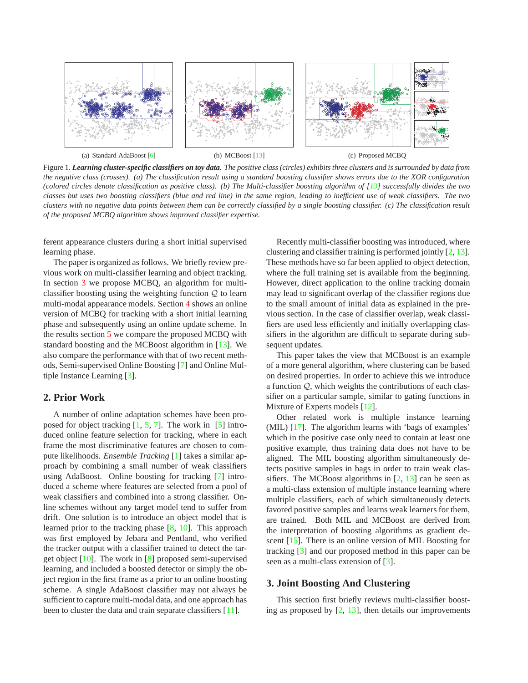<span id="page-1-2"></span>

<span id="page-1-0"></span>Figure 1. *Learning cluster-specific classifiers on toy data. The positive class (circles) exhibits three clusters and is surrounded by data from the negative class (crosses). (a) The classification result using a standard boosting classifier shows errors due to the XOR configuration (colored circles denote classification as positive class). (b) The Multi-classifier boosting algorithm of [\[13\]](#page-5-11) successfully divides the two classes but uses two boosting classifiers (blue and red line) in the same region, leading to inefficient use of weak classifiers. The two clusters with no negative data points between them can be correctly classified by a single boosting classifier. (c) The classification result of the proposed MCBQ algorithm shows improved classifier expertise.*

ferent appearance clusters during a short initial supervised learning phase.

The paper is organized as follows. We briefly review previous work on multi-classifier learning and object tracking. In section [3](#page-1-1) we propose MCBQ, an algorithm for multiclassifier boosting using the weighting function  $Q$  to learn multi-modal appearance models. Section [4](#page-2-0) shows an online version of MCBQ for tracking with a short initial learning phase and subsequently using an online update scheme. In the results section [5](#page-3-0) we compare the proposed MCBQ with standard boosting and the MCBoost algorithm in [\[13\]](#page-5-11). We also compare the performance with that of two recent methods, Semi-supervised Online Boosting [\[7\]](#page-5-4) and Online Multiple Instance Learning [\[3\]](#page-5-2).

# **2. Prior Work**

A number of online adaptation schemes have been proposed for object tracking  $[1, 5, 7]$  $[1, 5, 7]$  $[1, 5, 7]$  $[1, 5, 7]$ . The work in  $[5]$  introduced online feature selection for tracking, where in each frame the most discriminative features are chosen to compute likelihoods. *Ensemble Tracking* [\[1\]](#page-5-1) takes a similar approach by combining a small number of weak classifiers using AdaBoost. Online boosting for tracking [\[7\]](#page-5-4) introduced a scheme where features are selected from a pool of weak classifiers and combined into a strong classifier. Online schemes without any target model tend to suffer from drift. One solution is to introduce an object model that is learned prior to the tracking phase [\[8,](#page-5-5) [10\]](#page-5-13). This approach was first employed by Jebara and Pentland, who verified the tracker output with a classifier trained to detect the target object  $[10]$ . The work in  $[8]$  proposed semi-supervised learning, and included a boosted detector or simply the object region in the first frame as a prior to an online boosting scheme. A single AdaBoost classifier may not always be sufficient to capture multi-modal data, and one approach has been to cluster the data and train separate classifiers [\[11\]](#page-5-8).

Recently multi-classifier boosting was introduced, where clustering and classifier training is performed jointly [\[2,](#page-5-10) [13\]](#page-5-11). These methods have so far been applied to object detection, where the full training set is available from the beginning. However, direct application to the online tracking domain may lead to significant overlap of the classifier regions due to the small amount of initial data as explained in the previous section. In the case of classifier overlap, weak classifiers are used less efficiently and initially overlapping classifiers in the algorithm are difficult to separate during subsequent updates.

This paper takes the view that MCBoost is an example of a more general algorithm, where clustering can be based on desired properties. In order to achieve this we introduce a function  $Q$ , which weights the contributions of each classifier on a particular sample, similar to gating functions in Mixture of Experts models [\[12\]](#page-5-14).

Other related work is multiple instance learning (MIL) [\[17\]](#page-5-15). The algorithm learns with 'bags of examples' which in the positive case only need to contain at least one positive example, thus training data does not have to be aligned. The MIL boosting algorithm simultaneously detects positive samples in bags in order to train weak classifiers. The MCBoost algorithms in  $[2, 13]$  $[2, 13]$  can be seen as a multi-class extension of multiple instance learning where multiple classifiers, each of which simultaneously detects favored positive samples and learns weak learners for them, are trained. Both MIL and MCBoost are derived from the interpretation of boosting algorithms as gradient de-scent [\[15\]](#page-5-16). There is an online version of MIL Boosting for tracking [\[3\]](#page-5-2) and our proposed method in this paper can be seen as a multi-class extension of [\[3\]](#page-5-2).

## <span id="page-1-1"></span>**3. Joint Boosting And Clustering**

This section first briefly reviews multi-classifier boosting as proposed by  $[2, 13]$  $[2, 13]$  $[2, 13]$ , then details our improvements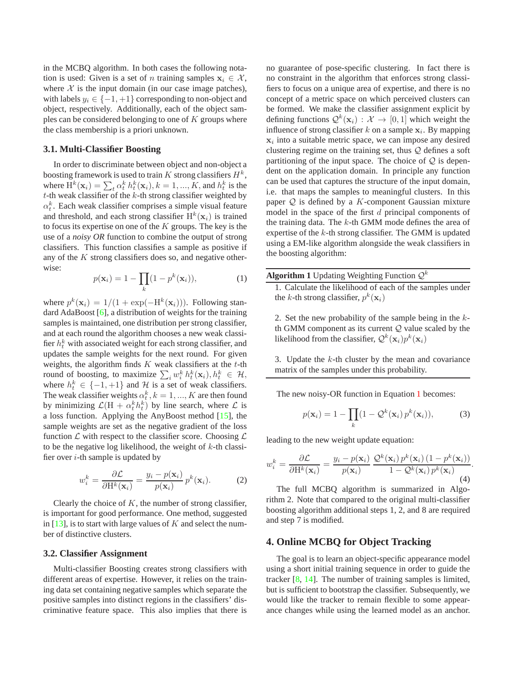<span id="page-2-3"></span>in the MCBQ algorithm. In both cases the following notation is used: Given is a set of *n* training samples  $x_i \in \mathcal{X}$ , where  $X$  is the input domain (in our case image patches), with labels  $y_i \in \{-1, +1\}$  corresponding to non-object and object, respectively. Additionally, each of the object samples can be considered belonging to one of  $K$  groups where the class membership is a priori unknown.

#### **3.1. Multi-Classifier Boosting**

In order to discriminate between object and non-object a boosting framework is used to train  $K$  strong classifiers  $H^k$ , where  $\mathbf{H}^k(\mathbf{x}_i) = \sum_t \alpha_t^k h_t^k(\mathbf{x}_i), k = 1, ..., K$ , and  $h_t^k$  is the  $t$ -th weak classifier of the  $k$ -th strong classifier weighted by  $\alpha_t^k$ . Each weak classifier comprises a simple visual feature and threshold, and each strong classifier  $H^k(\mathbf{x}_i)$  is trained to focus its expertise on one of the  $K$  groups. The key is the use of a *noisy OR* function to combine the output of strong classifiers. This function classifies a sample as positive if any of the  $K$  strong classifiers does so, and negative otherwise:

<span id="page-2-1"></span>
$$
p(\mathbf{x}_i) = 1 - \prod_k (1 - p^k(\mathbf{x}_i)), \tag{1}
$$

where  $p^k(\mathbf{x}_i) = 1/(1 + \exp(-\mathbf{H}^k(\mathbf{x}_i)))$ . Following standard AdaBoost [\[6\]](#page-5-12), a distribution of weights for the training samples is maintained, one distribution per strong classifier, and at each round the algorithm chooses a new weak classifier  $h_t^k$  with associated weight for each strong classifier, and updates the sample weights for the next round. For given weights, the algorithm finds  $K$  weak classifiers at the  $t$ -th round of boosting, to maximize  $\sum_i w_i^k h_t^k(\mathbf{x}_i)$ ,  $h_t^k \in \mathcal{H}$ , where  $h_t^k \in \{-1, +1\}$  and  $\mathcal H$  is a set of weak classifiers. The weak classifier weights  $\alpha_t^k$ ,  $k = 1, ..., K$  are then found by minimizing  $\mathcal{L}(\mathbf{H} + \alpha_t^k h_t^k)$  by line search, where  $\mathcal{L}$  is a loss function. Applying the AnyBoost method [\[15\]](#page-5-16), the sample weights are set as the negative gradient of the loss function  $\mathcal L$  with respect to the classifier score. Choosing  $\mathcal L$ to be the negative log likelihood, the weight of  $k$ -th classifier over  $i$ -th sample is updated by

$$
w_i^k = \frac{\partial \mathcal{L}}{\partial \mathbf{H}^k(\mathbf{x}_i)} = \frac{y_i - p(\mathbf{x}_i)}{p(\mathbf{x}_i)} p^k(\mathbf{x}_i).
$$
 (2)

Clearly the choice of  $K$ , the number of strong classifier, is important for good performance. One method, suggested in  $[13]$ , is to start with large values of K and select the number of distinctive clusters.

#### **3.2. Classifier Assignment**

Multi-classifier Boosting creates strong classifiers with different areas of expertise. However, it relies on the training data set containing negative samples which separate the positive samples into distinct regions in the classifiers' discriminative feature space. This also implies that there is

no guarantee of pose-specific clustering. In fact there is no constraint in the algorithm that enforces strong classifiers to focus on a unique area of expertise, and there is no concept of a metric space on which perceived clusters can be formed. We make the classifier assignment explicit by defining functions  $\mathcal{Q}^k(\mathbf{x}_i) : \mathcal{X} \to [0,1]$  which weight the influence of strong classifier  $k$  on a sample  $x_i$ . By mapping  $x_i$  into a suitable metric space, we can impose any desired clustering regime on the training set, thus  $Q$  defines a soft partitioning of the input space. The choice of  $Q$  is dependent on the application domain. In principle any function can be used that captures the structure of the input domain, i.e. that maps the samples to meaningful clusters. In this paper  $Q$  is defined by a K-component Gaussian mixture model in the space of the first  $d$  principal components of the training data. The  $k$ -th GMM mode defines the area of expertise of the  $k$ -th strong classifier. The GMM is updated using a EM-like algorithm alongside the weak classifiers in the boosting algorithm:

Algorithm 1 Updating Weighting Function  $\mathcal{Q}^k$ 1. Calculate the likelihood of each of the samples under the *k*-th strong classifier,  $p^k(\mathbf{x}_i)$ 

2. Set the new probability of the sample being in the  $k$ th GMM component as its current  $Q$  value scaled by the likelihood from the classifier,  $\mathcal{Q}^k(\mathbf{x}_i) p^k(\mathbf{x}_i)$ 

3. Update the  $k$ -th cluster by the mean and covariance matrix of the samples under this probability.

The new noisy-OR function in Equation [1](#page-2-1) becomes:

$$
p(\mathbf{x}_i) = 1 - \prod_k (1 - \mathcal{Q}^k(\mathbf{x}_i) p^k(\mathbf{x}_i)),
$$
 (3)

leading to the new weight update equation:

<span id="page-2-2"></span>
$$
w_i^k = \frac{\partial \mathcal{L}}{\partial \mathbf{H}^k(\mathbf{x}_i)} = \frac{y_i - p(\mathbf{x}_i)}{p(\mathbf{x}_i)} \frac{\mathcal{Q}^k(\mathbf{x}_i) p^k(\mathbf{x}_i) (1 - p^k(\mathbf{x}_i))}{1 - \mathcal{Q}^k(\mathbf{x}_i) p^k(\mathbf{x}_i)}.
$$
\n(4)

The full MCBQ algorithm is summarized in Algorithm 2. Note that compared to the original multi-classifier boosting algorithm additional steps 1, 2, and 8 are required and step 7 is modified.

#### <span id="page-2-0"></span>**4. Online MCBQ for Object Tracking**

The goal is to learn an object-specific appearance model using a short initial training sequence in order to guide the tracker [\[8,](#page-5-5) [14\]](#page-5-7). The number of training samples is limited, but is sufficient to bootstrap the classifier. Subsequently, we would like the tracker to remain flexible to some appearance changes while using the learned model as an anchor.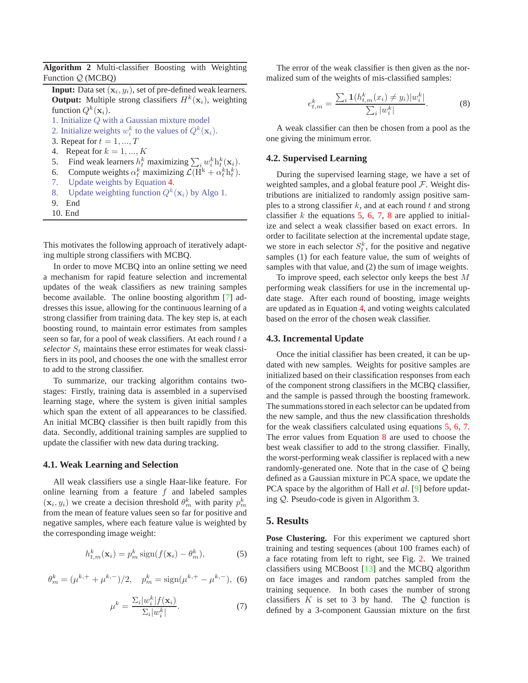<span id="page-3-5"></span>**Algorithm 2** Multi-classifier Boosting with Weighting Function  $Q$  (MCBQ)

**Input:** Data set  $(x_i, y_i)$ , set of pre-defined weak learners. **Output:** Multiple strong classifiers  $H^k(\mathbf{x}_i)$ , weighting function  $Q^k(\mathbf{x}_i)$ .

- 1. Initialize  $Q$  with a Gaussian mixture model
- 2. Initialize weights  $w_i^k$  to the values of  $Q^k(\mathbf{x}_i)$ .
- 3. Repeat for  $t = 1, ..., T$
- 4. Repeat for  $k = 1, ..., K$
- 5. Find weak learners  $h_t^k$  maximizing  $\sum_i w_i^k h_t^k(\mathbf{x}_i)$ .
- 6. Compute weights  $\alpha_t^k$  maximizing  $\mathcal{L}(\mathbf{H}^k + \alpha_t^k \mathbf{h}_t^k)$ .
- 7. Update weights by Equation [4.](#page-2-2)
- 8. Update weighting function  $Q^k(\mathbf{x}_i)$  by Algo 1.
- 9. End
- 10. End

This motivates the following approach of iteratively adapting multiple strong classifiers with MCBQ.

In order to move MCBQ into an online setting we need a mechanism for rapid feature selection and incremental updates of the weak classifiers as new training samples become available. The online boosting algorithm [\[7\]](#page-5-4) addresses this issue, allowing for the continuous learning of a strong classifier from training data. The key step is, at each boosting round, to maintain error estimates from samples seen so far, for a pool of weak classifiers. At each round  $t$  a *selector*  $S_t$  maintains these error estimates for weak classifiers in its pool, and chooses the one with the smallest error to add to the strong classifier.

To summarize, our tracking algorithm contains twostages: Firstly, training data is assembled in a supervised learning stage, where the system is given initial samples which span the extent of all appearances to be classified. An initial MCBQ classifier is then built rapidly from this data. Secondly, additional training samples are supplied to update the classifier with new data during tracking.

## **4.1. Weak Learning and Selection**

All weak classifiers use a single Haar-like feature. For online learning from a feature  $f$  and labeled samples  $(\mathbf{x}_i, y_i)$  we create a decision threshold  $\theta_m^k$  with parity  $p_m^k$ from the mean of feature values seen so far for positive and negative samples, where each feature value is weighted by the corresponding image weight:

<span id="page-3-1"></span>
$$
h_{t,m}^k(\mathbf{x}_i) = p_m^k \operatorname{sign}(f(\mathbf{x}_i) - \theta_m^k),\tag{5}
$$

<span id="page-3-2"></span>
$$
\theta_m^k = (\mu^{k,+} + \mu^{k,-})/2, \quad p_m^k = \text{sign}(\mu^{k,+} - \mu^{k,-}), \tag{6}
$$

<span id="page-3-3"></span>
$$
\mu^k = \frac{\Sigma_i |w_i^k| f(\mathbf{x}_i)}{\Sigma_i |w_i^k|}.
$$
\n(7)

The error of the weak classifier is then given as the normalized sum of the weights of mis-classified samples:

<span id="page-3-4"></span>
$$
e_{t,m}^k = \frac{\sum_i \mathbf{1}(h_{t,m}^k(x_i) \neq y_i)|w_i^k|}{\sum_i |w_i^k|}.
$$
 (8)

A weak classifier can then be chosen from a pool as the one giving the minimum error.

#### **4.2. Supervised Learning**

During the supervised learning stage, we have a set of weighted samples, and a global feature pool  $\mathcal F$ . Weight distributions are initialized to randomly assign positive samples to a strong classifier  $k$ , and at each round  $t$  and strong classifier  $k$  the equations [5,](#page-3-1) [6,](#page-3-2) [7,](#page-3-3) [8](#page-3-4) are applied to initialize and select a weak classifier based on exact errors. In order to facilitate selection at the incremental update stage, we store in each selector  $S_t^k$ , for the positive and negative samples (1) for each feature value, the sum of weights of samples with that value, and (2) the sum of image weights.

To improve speed, each selector only keeps the best  $M$ performing weak classifiers for use in the incremental update stage. After each round of boosting, image weights are updated as in Equation [4,](#page-2-2) and voting weights calculated based on the error of the chosen weak classifier.

#### **4.3. Incremental Update**

Once the initial classifier has been created, it can be updated with new samples. Weights for positive samples are initialized based on their classification responses from each of the component strong classifiers in the MCBQ classifier, and the sample is passed through the boosting framework. The summations stored in each selector can be updated from the new sample, and thus the new classification thresholds for the weak classifiers calculated using equations [5,](#page-3-1) [6,](#page-3-2) [7.](#page-3-3) The error values from Equation [8](#page-3-4) are used to choose the best weak classifier to add to the strong classifier. Finally, the worst-performing weak classifier is replaced with a new randomly-generated one. Note that in the case of  $Q$  being defined as a Gaussian mixture in PCA space, we update the PCA space by the algorithm of Hall *et al*. [\[9\]](#page-5-17) before updating  $Q$ . Pseudo-code is given in Algorithm 3.

#### <span id="page-3-0"></span>**5. Results**

**Pose Clustering.** For this experiment we captured short training and testing sequences (about 100 frames each) of a face rotating from left to right, see Fig. [2.](#page-4-0) We trained classifiers using MCBoost [\[13\]](#page-5-11) and the MCBQ algorithm on face images and random patches sampled from the training sequence. In both cases the number of strong classifiers  $K$  is set to 3 by hand. The  $Q$  function is defined by a 3-component Gaussian mixture on the first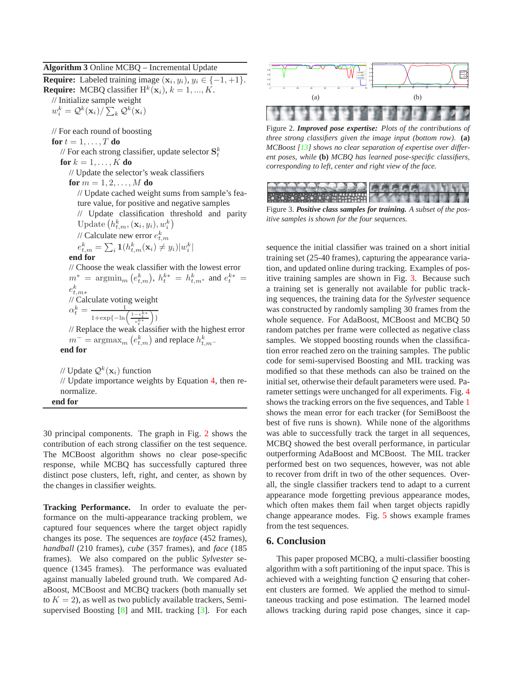## <span id="page-4-2"></span>**Algorithm 3** Online MCBQ – Incremental Update

**Require:** Labeled training image  $(\mathbf{x}_i, y_i), y_i \in \{-1, +1\}.$ **Require:** MCBQ classifier  $H^k(\mathbf{x}_i)$ ,  $k = 1, ..., K$ . // Initialize sample weight

 $w_i^k = \mathcal{Q}^k(\mathbf{x}_i)/\sum_k \mathcal{Q}^k(\mathbf{x}_i)$ 

// For each round of boosting

**for**  $t = 1, \ldots, T$  **do** 

// For each strong classifier, update selector  $\mathbf{S}^k_t$ 

**for**  $k = 1, \ldots, K$  **do** 

// Update the selector's weak classifiers

**for**  $m = 1, 2, ..., M$  **do** 

// Update cached weight sums from sample's feature value, for positive and negative samples // Update classification threshold and parity

Update  $(h_{t,m}^k, (\mathbf{x}_i, y_i), w_i^k)$ 

// Calculate new error  $e_{t,m}^k$ 

$$
e_{t,m}^k = \sum_i \mathbf{1}(h_{t,m}^k(\mathbf{x}_i) \neq y_i)|w_i^k|
$$

**end for**

// Choose the weak classifier with the lowest error  $m^* = \text{argmin}_m (e_{t,m}^k), h_t^{k*} = h_{t,m^*}^k$  and  $e_t^{k*} =$  $e_{t,m*}^k$ // Calculate voting weight  $\alpha_t^k = \frac{1}{1 + \exp\{-\ln\left(\frac{1 - e_t^{k*}}{e_t^{k*}}\right)}}$ ) }

 $\frac{1}{\sqrt{2}}$  Replace the weak classifier with the highest error  $m^- = \text{argmax}_m \left( e_{t,m}^k \right)$  and replace  $h_{t,m}^k$ **end for**

// Update  $\mathcal{Q}^k(\mathbf{x}_i)$  function // Update importance weights by Equation [4,](#page-2-2) then renormalize.

**end for**

30 principal components. The graph in Fig. [2](#page-4-0) shows the contribution of each strong classifier on the test sequence. The MCBoost algorithm shows no clear pose-specific response, while MCBQ has successfully captured three distinct pose clusters, left, right, and center, as shown by the changes in classifier weights.

**Tracking Performance.** In order to evaluate the performance on the multi-appearance tracking problem, we captured four sequences where the target object rapidly changes its pose. The sequences are *toyface* (452 frames), *handball* (210 frames), *cube* (357 frames), and *face* (185 frames). We also compared on the public *Sylvester* sequence (1345 frames). The performance was evaluated against manually labeled ground truth. We compared AdaBoost, MCBoost and MCBQ trackers (both manually set to  $K = 2$ ), as well as two publicly available trackers, Semisupervised Boosting [\[8\]](#page-5-5) and MIL tracking [\[3\]](#page-5-2). For each



<span id="page-4-0"></span>Figure 2. *Improved pose expertise: Plots of the contributions of three strong classifiers given the image input (bottom row).* **(a)** *MCBoost [\[13\]](#page-5-11) shows no clear separation of expertise over different poses, while* **(b)** *MCBQ has learned pose-specific classifiers, corresponding to left, center and right view of the face.*

<span id="page-4-1"></span>Figure 3. *Positive class samples for training. A subset of the positive samples is shown for the four sequences.*

sequence the initial classifier was trained on a short initial training set (25-40 frames), capturing the appearance variation, and updated online during tracking. Examples of positive training samples are shown in Fig. [3.](#page-4-1) Because such a training set is generally not available for public tracking sequences, the training data for the *Sylvester* sequence was constructed by randomly sampling 30 frames from the whole sequence. For AdaBoost, MCBoost and MCBQ 50 random patches per frame were collected as negative class samples. We stopped boosting rounds when the classification error reached zero on the training samples. The public code for semi-supervised Boosting and MIL tracking was modified so that these methods can also be trained on the initial set, otherwise their default parameters were used. Parameter settings were unchanged for all experiments. Fig. [4](#page-5-18) shows the tracking errors on the five sequences, and Table [1](#page-5-19) shows the mean error for each tracker (for SemiBoost the best of five runs is shown). While none of the algorithms was able to successfully track the target in all sequences, MCBQ showed the best overall performance, in particular outperforming AdaBoost and MCBoost. The MIL tracker performed best on two sequences, however, was not able to recover from drift in two of the other sequences. Overall, the single classifier trackers tend to adapt to a current appearance mode forgetting previous appearance modes, which often makes them fail when target objects rapidly change appearance modes. Fig. [5](#page-5-20) shows example frames from the test sequences.

## **6. Conclusion**

This paper proposed MCBQ, a multi-classifier boosting algorithm with a soft partitioning of the input space. This is achieved with a weighting function  $Q$  ensuring that coherent clusters are formed. We applied the method to simultaneous tracking and pose estimation. The learned model allows tracking during rapid pose changes, since it cap-